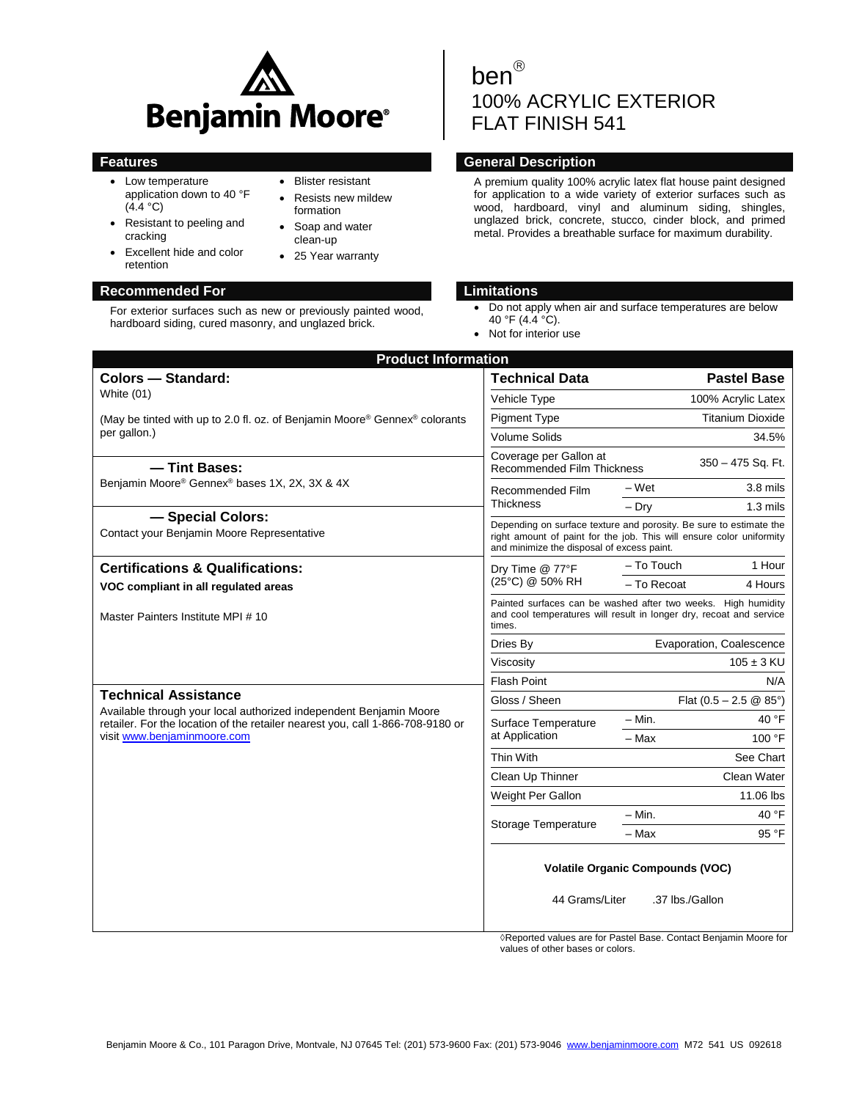

 Blister resistant Resists new mildew

formation Soap and water clean-up • 25 Year warranty

- Low temperature application down to 40 °F  $(4.4 °C)$
- Resistant to peeling and cracking
- Excellent hide and color retention

## **Recommended For Limitations**

For exterior surfaces such as new or previously painted wood, hardboard siding, cured masonry, and unglazed brick.

# ben<sup>®</sup> 100% ACRYLIC EXTERIOR FLAT FINISH 541

## **Features Features General Description**

A premium quality 100% acrylic latex flat house paint designed for application to a wide variety of exterior surfaces such as wood, hardboard, vinyl and aluminum siding, shingles, unglazed brick, concrete, stucco, cinder block, and primed metal. Provides a breathable surface for maximum durability.

- Do not apply when air and surface temperatures are below 40 °F (4.4 °C).
- Not for interior use

| <b>Product Information</b>                                                                                                                           |                                                                                                                                                                                          |                                  |                    |  |  |
|------------------------------------------------------------------------------------------------------------------------------------------------------|------------------------------------------------------------------------------------------------------------------------------------------------------------------------------------------|----------------------------------|--------------------|--|--|
| Colors - Standard:                                                                                                                                   | <b>Technical Data</b>                                                                                                                                                                    |                                  | <b>Pastel Base</b> |  |  |
| White $(01)$                                                                                                                                         | Vehicle Type                                                                                                                                                                             |                                  | 100% Acrylic Latex |  |  |
| (May be tinted with up to 2.0 fl. oz. of Benjamin Moore <sup>®</sup> Gennex <sup>®</sup> colorants<br>per gallon.)                                   | <b>Pigment Type</b>                                                                                                                                                                      | <b>Titanium Dioxide</b>          |                    |  |  |
|                                                                                                                                                      | <b>Volume Solids</b>                                                                                                                                                                     |                                  | 34.5%              |  |  |
| - Tint Bases:                                                                                                                                        | Coverage per Gallon at<br><b>Recommended Film Thickness</b>                                                                                                                              |                                  | 350 - 475 Sq. Ft.  |  |  |
| Benjamin Moore® Gennex® bases 1X, 2X, 3X & 4X                                                                                                        | Recommended Film<br><b>Thickness</b>                                                                                                                                                     | – Wet                            | $3.8$ mils         |  |  |
|                                                                                                                                                      |                                                                                                                                                                                          | $-$ Dry                          | $1.3$ mils         |  |  |
| - Special Colors:<br>Contact your Benjamin Moore Representative                                                                                      | Depending on surface texture and porosity. Be sure to estimate the<br>right amount of paint for the job. This will ensure color uniformity<br>and minimize the disposal of excess paint. |                                  |                    |  |  |
| <b>Certifications &amp; Qualifications:</b><br>Dry Time @ 77°F                                                                                       |                                                                                                                                                                                          | - To Touch                       | 1 Hour             |  |  |
| VOC compliant in all regulated areas                                                                                                                 | (25°C) @ 50% RH                                                                                                                                                                          | - To Recoat                      | 4 Hours            |  |  |
| Master Painters Institute MPI # 10                                                                                                                   | Painted surfaces can be washed after two weeks. High humidity<br>and cool temperatures will result in longer dry, recoat and service<br>times.                                           |                                  |                    |  |  |
|                                                                                                                                                      | Dries By                                                                                                                                                                                 | Evaporation, Coalescence         |                    |  |  |
|                                                                                                                                                      | Viscosity                                                                                                                                                                                | $105 \pm 3$ KU                   |                    |  |  |
|                                                                                                                                                      | <b>Flash Point</b>                                                                                                                                                                       |                                  | N/A                |  |  |
| <b>Technical Assistance</b>                                                                                                                          | Gloss / Sheen                                                                                                                                                                            | Flat $(0.5 - 2.5 \& 85^{\circ})$ |                    |  |  |
| Available through your local authorized independent Benjamin Moore<br>retailer. For the location of the retailer nearest you, call 1-866-708-9180 or | Surface Temperature                                                                                                                                                                      | – Min.                           | 40 °F              |  |  |
| visit www.benjaminmoore.com                                                                                                                          | at Application                                                                                                                                                                           | - Max                            | 100 °F             |  |  |
|                                                                                                                                                      | Thin With                                                                                                                                                                                | See Chart                        |                    |  |  |
|                                                                                                                                                      | Clean Up Thinner                                                                                                                                                                         | Clean Water                      |                    |  |  |
|                                                                                                                                                      | Weight Per Gallon                                                                                                                                                                        |                                  | 11.06 lbs          |  |  |
|                                                                                                                                                      | <b>Storage Temperature</b>                                                                                                                                                               | $-$ Min.                         | 40 °F              |  |  |
|                                                                                                                                                      |                                                                                                                                                                                          | – Max                            | 95 °F              |  |  |
|                                                                                                                                                      | <b>Volatile Organic Compounds (VOC)</b><br>44 Grams/Liter<br>.37 lbs./Gallon                                                                                                             |                                  |                    |  |  |
|                                                                                                                                                      | A Penerted values are for Dostal Rass, Centest Repiemin Moore for                                                                                                                        |                                  |                    |  |  |

s are for Pastel Base. Contact Benjamin Moore for values of other bases or colors.